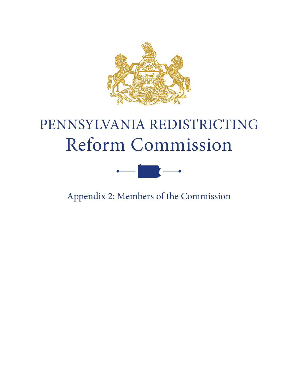

# PENNSYLVANIA REDISTRICTING Reform Commission



Appendix 2: Members of the Commission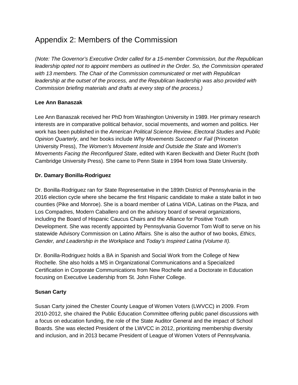# Appendix 2: Members of the Commission

*(Note: The Governor's Executive Order called for a 15-member Commission, but the Republican leadership opted not to appoint members as outlined in the Order. So, the Commission operated with 13 members. The Chair of the Commission communicated or met with Republican leadership at the outset of the process, and the Republican leadership was also provided with Commission briefing materials and drafts at every step of the process.)*

## **Lee Ann Banaszak**

Lee Ann Banaszak received her PhD from Washington University in 1989. Her primary research interests are in comparative political behavior, social movements, and women and politics. Her work has been published in the *American Political Science Review*, *Electoral Studies* and *Public Opinion Quarterly*, and her books include *Why Movements Succeed or Fail* (Princeton University Press), *The Women's Movement Inside and Outside the State* and *Women's Movements Facing the Reconfigured State*, edited with Karen Beckwith and Dieter Rucht (both Cambridge University Press). She came to Penn State in 1994 from Iowa State University.

## **Dr. Damary Bonilla-Rodriguez**

Dr. Bonilla-Rodriguez ran for State Representative in the 189th District of Pennsylvania in the 2016 election cycle where she became the first Hispanic candidate to make a state ballot in two counties (Pike and Monroe). She is a board member of Latina VIDA, Latinas on the Plaza, and Los Compadres, Modern Caballero and on the advisory board of several organizations, including the Board of Hispanic Caucus Chairs and the Alliance for Positive Youth Development. She was recently appointed by Pennsylvania Governor Tom Wolf to serve on his statewide Advisory Commission on Latino Affairs. She is also the author of two books, *Ethics, Gender, and Leadership in the Workplace* and *Today's Inspired Latina (Volume II).*

Dr. Bonilla-Rodriguez holds a BA in Spanish and Social Work from the College of New Rochelle. She also holds a MS in Organizational Communications and a Specialized Certification in Corporate Communications from New Rochelle and a Doctorate in Education focusing on Executive Leadership from St. John Fisher College.

#### **Susan Carty**

Susan Carty joined the Chester County League of Women Voters (LWVCC) in 2009. From 2010-2012, she chaired the Public Education Committee offering public panel discussions with a focus on education funding, the role of the State Auditor General and the impact of School Boards. She was elected President of the LWVCC in 2012, prioritizing membership diversity and inclusion, and in 2013 became President of League of Women Voters of Pennsylvania.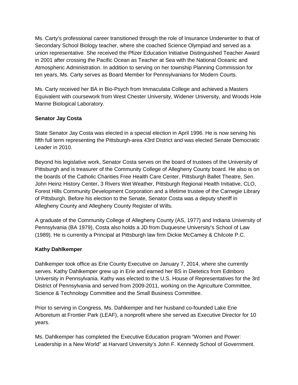Ms. Carty's professional career transitioned through the role of Insurance Underwriter to that of Secondary School Biology teacher, where she coached Science Olympiad and served as a union representative. She received the Pfizer Education Initiative Distinguished Teacher Award in 2001 after crossing the Pacific Ocean as Teacher at Sea with the National Oceanic and Atmospheric Administration. In addition to serving on her township Planning Commission for ten years, Ms. Carty serves as Board Member for Pennsylvanians for Modern Courts.

Ms. Carty received her BA in Bio-Psych from Immaculata College and achieved a Masters Equivalent with coursework from West Chester University, Widener University, and Woods Hole Marine Biological Laboratory.

#### **Senator Jay Costa**

State Senator Jay Costa was elected in a special election in April 1996. He is now serving his fifth full term representing the Pittsburgh-area 43rd District and was elected Senate Democratic Leader in 2010.

Beyond his legislative work, Senator Costa serves on the board of trustees of the University of Pittsburgh and is treasurer of the Community College of Allegheny County board. He also is on the boards of the Catholic Charities Free Health Care Center, Pittsburgh Ballet Theatre, Sen. John Heinz History Center, 3 Rivers Wet Weather, Pittsburgh Regional Health Initiative, CLO, Forest Hills Community Development Corporation and a lifetime trustee of the Carnegie Library of Pittsburgh. Before his election to the Senate, Senator Costa was a deputy sheriff in Allegheny County and Allegheny County Register of Wills.

A graduate of the Community College of Allegheny County (AS, 1977) and Indiana University of Pennsylvania (BA 1979), Costa also holds a JD from Duquesne University's School of Law (1989). He is currently a Principal at Pittsburgh law firm Dickie McCamey & Chilcote P.C.

#### **Kathy Dahlkemper**

Dahlkemper took office as Erie County Executive on January 7, 2014, where she currently serves. Kathy Dahlkemper grew up in Erie and earned her BS in Dietetics from Edinboro University in Pennsylvania. Kathy was elected to the U.S. House of Representatives for the 3rd District of Pennsylvania and served from 2009-2011, working on the Agriculture Committee, Science & Technology Committee and the Small Business Committee.

Prior to serving in Congress, Ms. Dahlkemper and her husband co-founded Lake Erie Arboretum at Frontier Park (LEAF), a nonprofit where she served as Executive Director for 10 years.

Ms. Dahlkemper has completed the Executive Education program "Women and Power: Leadership in a New World" at Harvard University's John F. Kennedy School of Government.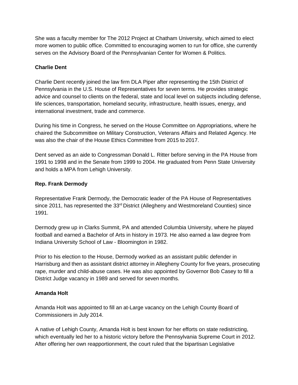She was a faculty member for The 2012 Project at Chatham University, which aimed to elect more women to public office. Committed to encouraging women to run for office, she currently serves on the Advisory Board of the Pennsylvanian Center for Women & Politics.

#### **Charlie Dent**

Charlie Dent recently joined the law firm DLA Piper after representing the 15th District of Pennsylvania in the U.S. House of Representatives for seven terms. He provides strategic advice and counsel to clients on the federal, state and local level on subjects including defense, life sciences, transportation, homeland security, infrastructure, health issues, energy, and international investment, trade and commerce.

During his time in Congress, he served on the House Committee on Appropriations, where he chaired the Subcommittee on Military Construction, Veterans Affairs and Related Agency. He was also the chair of the House Ethics Committee from 2015 to 2017.

Dent served as an aide to Congressman Donald L. Ritter before serving in the PA House from 1991 to 1998 and in the Senate from 1999 to 2004. He graduated from Penn State University and holds a MPA from Lehigh University.

#### **Rep. Frank Dermody**

Representative Frank Dermody, the Democratic leader of the PA House of Representatives since 2011, has represented the 33<sup>rd</sup> District (Allegheny and Westmoreland Counties) since 1991.

Dermody grew up in Clarks Summit, PA and attended Columbia University, where he played football and earned a Bachelor of Arts in history in 1973. He also earned a law degree from Indiana University School of Law - Bloomington in 1982.

Prior to his election to the House, Dermody worked as an assistant public defender in Harrisburg and then as assistant district attorney in Allegheny County for five years, prosecuting rape, murder and child-abuse cases. He was also appointed by Governor Bob Casey to fill a District Judge vacancy in 1989 and served for seven months.

#### **Amanda Holt**

Amanda Holt was appointed to fill an at-Large vacancy on the Lehigh County Board of Commissioners in July 2014.

A native of Lehigh County, Amanda Holt is best known for her efforts on state redistricting, which eventually led her to a historic victory before the Pennsylvania Supreme Court in 2012. After offering her own reapportionment, the court ruled that the bipartisan Legislative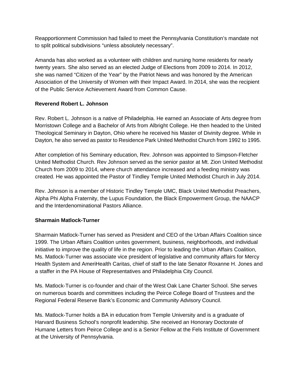Reapportionment Commission had failed to meet the Pennsylvania Constitution's mandate not to split political subdivisions "unless absolutely necessary".

Amanda has also worked as a volunteer with children and nursing home residents for nearly twenty years. She also served as an elected Judge of Elections from 2009 to 2014. In 2012, she was named "Citizen of the Year" by the Patriot News and was honored by the American Association of the University of Women with their Impact Award. In 2014, she was the recipient of the Public Service Achievement Award from Common Cause.

## **Reverend Robert L. Johnson**

Rev. Robert L. Johnson is a native of Philadelphia. He earned an Associate of Arts degree from Morristown College and a Bachelor of Arts from Albright College. He then headed to the United Theological Seminary in Dayton, Ohio where he received his Master of Divinity degree. While in Dayton, he also served as pastor to Residence Park United Methodist Church from 1992 to 1995.

After completion of his Seminary education, Rev. Johnson was appointed to Simpson-Fletcher United Methodist Church. Rev Johnson served as the senior pastor at Mt. Zion United Methodist Church from 2009 to 2014, where church attendance increased and a feeding ministry was created. He was appointed the Pastor of Tindley Temple United Methodist Church in July 2014.

Rev. Johnson is a member of Historic Tindley Temple UMC, Black United Methodist Preachers, Alpha Phi Alpha Fraternity, the Lupus Foundation, the Black Empowerment Group, the NAACP and the Interdenominational Pastors Alliance.

#### **Sharmain Matlock-Turner**

Sharmain Matlock-Turner has served as President and CEO of the Urban Affairs Coalition since 1999. The Urban Affairs Coalition unites government, business, neighborhoods, and individual initiative to improve the quality of life in the region. Prior to leading the Urban Affairs Coalition, Ms. Matlock-Turner was associate vice president of legislative and community affairs for Mercy Health System and AmeriHealth Caritas, chief of staff to the late Senator Roxanne H. Jones and a staffer in the PA House of Representatives and Philadelphia City Council.

Ms. Matlock-Turner is co-founder and chair of the West Oak Lane Charter School. She serves on numerous boards and committees including the Peirce College Board of Trustees and the Regional Federal Reserve Bank's Economic and Community Advisory Council.

Ms. Matlock-Turner holds a BA in education from Temple University and is a graduate of Harvard Business School's nonprofit leadership. She received an Honorary Doctorate of Humane Letters from Peirce College and is a Senior Fellow at the Fels Institute of Government at the University of Pennsylvania.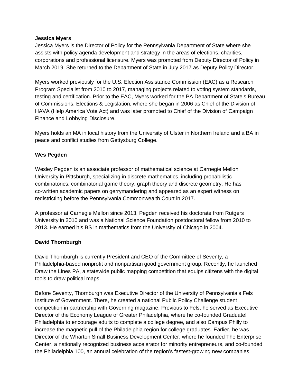#### **Jessica Myers**

Jessica Myers is the Director of Policy for the Pennsylvania Department of State where she assists with policy agenda development and strategy in the areas of elections, charities, corporations and professional licensure. Myers was promoted from Deputy Director of Policy in March 2019. She returned to the Department of State in July 2017 as Deputy Policy Director.

Myers worked previously for the U.S. Election Assistance Commission (EAC) as a Research Program Specialist from 2010 to 2017, managing projects related to voting system standards, testing and certification. Prior to the EAC, Myers worked for the PA Department of State's Bureau of Commissions, Elections & Legislation, where she began in 2006 as Chief of the Division of HAVA (Help America Vote Act) and was later promoted to Chief of the Division of Campaign Finance and Lobbying Disclosure.

Myers holds an MA in local history from the University of Ulster in Northern Ireland and a BA in peace and conflict studies from Gettysburg College.

#### **Wes Pegden**

Wesley Pegden is an associate professor of mathematical science at Carnegie Mellon University in Pittsburgh, specializing in discrete mathematics, including probabilistic combinatorics, combinatorial game theory, graph theory and discrete geometry. He has co-written academic papers on gerrymandering and appeared as an expert witness on redistricting before the Pennsylvania Commonwealth Court in 2017.

A professor at Carnegie Mellon since 2013, Pegden received his doctorate from Rutgers University in 2010 and was a National Science Foundation postdoctoral fellow from 2010 to 2013. He earned his BS in mathematics from the University of Chicago in 2004.

#### **David Thornburgh**

David Thornburgh is currently President and CEO of the Committee of Seventy, a Philadelphia-based nonprofit and nonpartisan good government group. Recently, he launched Draw the Lines PA, a statewide public mapping competition that equips citizens with the digital tools to draw political maps.

Before Seventy, Thornburgh was Executive Director of the University of Pennsylvania's Fels Institute of Government. There, he created a national Public Policy Challenge student competition in partnership with Governing magazine. Previous to Fels, he served as Executive Director of the Economy League of Greater Philadelphia, where he co-founded Graduate! Philadelphia to encourage adults to complete a college degree, and also Campus Philly to increase the magnetic pull of the Philadelphia region for college graduates. Earlier, he was Director of the Wharton Small Business Development Center, where he founded The Enterprise Center, a nationally recognized business accelerator for minority entrepreneurs, and co-founded the Philadelphia 100, an annual celebration of the region's fastest-growing new companies.